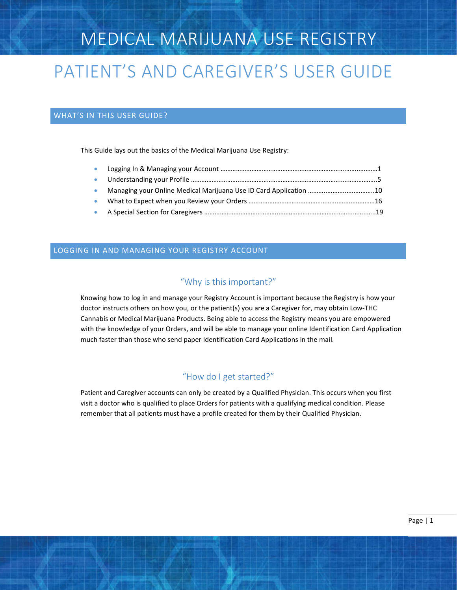## PATIENT'S AND CAREGIVER'S USER GUIDE

#### WHAT'S IN THIS USER GUIDE?

This Guide lays out the basics of the Medical Marijuana Use Registry:

#### LOGGING IN AND MANAGING YOUR REGISTRY ACCOUNT

#### "Why is this important?"

Knowing how to log in and manage your Registry Account is important because the Registry is how your doctor instructs others on how you, or the patient(s) you are a Caregiver for, may obtain Low-THC Cannabis or Medical Marijuana Products. Being able to access the Registry means you are empowered with the knowledge of your Orders, and will be able to manage your online Identification Card Application much faster than those who send paper Identification Card Applications in the mail.

#### "How do I get started?"

Patient and Caregiver accounts can only be created by a Qualified Physician. This occurs when you first visit a doctor who is qualified to place Orders for patients with a qualifying medical condition. Please remember that all patients must have a profile created for them by their Qualified Physician.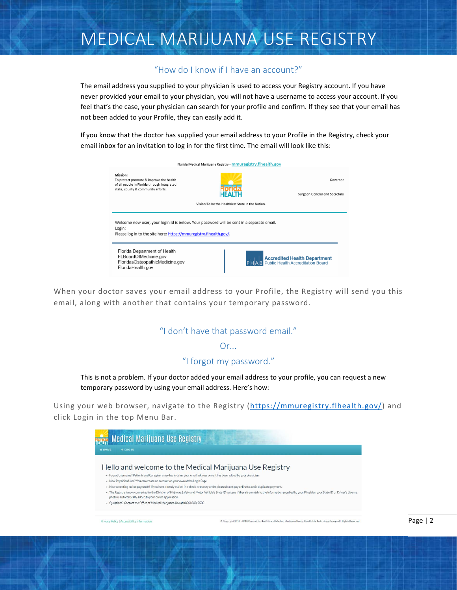### "How do I know if I have an account?"

The email address you supplied to your physician is used to access your Registry account. If you have never provided your email to your physician, you will not have a username to access your account. If you feel that's the case, your physician can search for your profile and confirm. If they see that your email has not been added to your Profile, they can easily add it.

If you know that the doctor has supplied your email address to your Profile in the Registry, check your email inbox for an invitation to log in for the first time. The email will look like this:

|                                                                                                                                                                           | Florida Medical Marijuana Registry - mmuregistry.flhealth.gov |                                                                          |  |  |
|---------------------------------------------------------------------------------------------------------------------------------------------------------------------------|---------------------------------------------------------------|--------------------------------------------------------------------------|--|--|
| Mission:<br>To protect promote & improve the health<br>of all people in Florida through integrated<br>state, county & community efforts.                                  |                                                               | Governor                                                                 |  |  |
|                                                                                                                                                                           |                                                               | Surgeon General and Secretary                                            |  |  |
|                                                                                                                                                                           | Vision: To be the Healthiest State in the Nation.             |                                                                          |  |  |
| Welcome new user, your login id is below. Your password will be sent in a separate email.<br>Login:<br>Please log in to the site here: https://mmuregistry.fihealth.gov/. |                                                               |                                                                          |  |  |
| Florida Department of Health<br>FLBoardOfMedicine.gov<br>FloridasOsteopathicMedicine.gov<br>FloridaHealth.gov                                                             |                                                               | <b>Accredited Health Department</b><br>Public Health Accreditation Board |  |  |

When your doctor saves your email address to your Profile, the Registry will send you this email, along with another that contains your temporary password.

### "I don't have that password email."

 $Or...$ 

## "I forgot my password."

This is not a problem. If your doctor added your email address to your profile, you can request a new temporary password by using your email address. Here's how:

Using your web browser, navigate to the Registry [\(https://mmuregistry.flhealth.gov/\)](https://mmuregistry.flhealth.gov/) and click Login in the top Menu Bar.

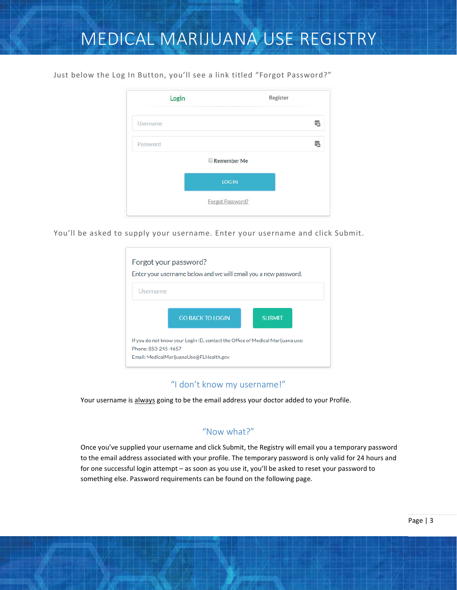Just below the Log In Button, you'll see a link titled "Forgot Password?"



You'll be asked to supply your username. Enter your username and click Submit.

## "I don't know my username!"

Your username is always going to be the email address your doctor added to your Profile.

## "Now what?"

Once you've supplied your username and click Submit, the Registry will email you a temporary password to the email address associated with your profile. The temporary password is only valid for 24 hours and for one successful login attempt – as soon as you use it, you'll be asked to reset your password to something else. Password requirements can be found on the following page.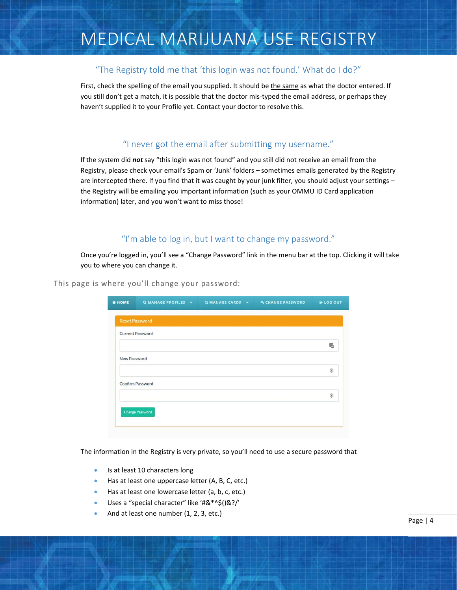### "The Registry told me that 'this login was not found.' What do I do?"

First, check the spelling of the email you supplied. It should be the same as what the doctor entered. If you still don't get a match, it is possible that the doctor mis-typed the email address, or perhaps they haven't supplied it to your Profile yet. Contact your doctor to resolve this.

## "I never got the email after submitting my username."

If the system did *not* say "this login was not found" and you still did not receive an email from the Registry, please check your email's Spam or 'Junk' folders – sometimes emails generated by the Registry are intercepted there. If you find that it was caught by your junk filter, you should adjust your settings – the Registry will be emailing you important information (such as your OMMU ID Card application information) later, and you won't want to miss those!

## "I'm able to log in, but I want to change my password."

Once you're logged in, you'll see a "Change Password" link in the menu bar at the top. Clicking it will take you to where you can change it.

This page is where you'll change your password:

| <b>Reset Password</b> |                         |  |  |             |
|-----------------------|-------------------------|--|--|-------------|
|                       | <b>Current Password</b> |  |  |             |
|                       |                         |  |  | 鷗           |
| <b>New Password</b>   |                         |  |  |             |
|                       |                         |  |  | $\circledR$ |
|                       | <b>Confirm Password</b> |  |  |             |
|                       |                         |  |  | $\circledR$ |

The information in the Registry is very private, so you'll need to use a secure password that

- Is at least 10 characters long
- Has at least one uppercase letter (A, B, C, etc.)
- Has at least one lowercase letter (a, b, c, etc.)
- Uses a "special character" like '#&\*^\$()&?/'
- And at least one number (1, 2, 3, etc.)

Page | 4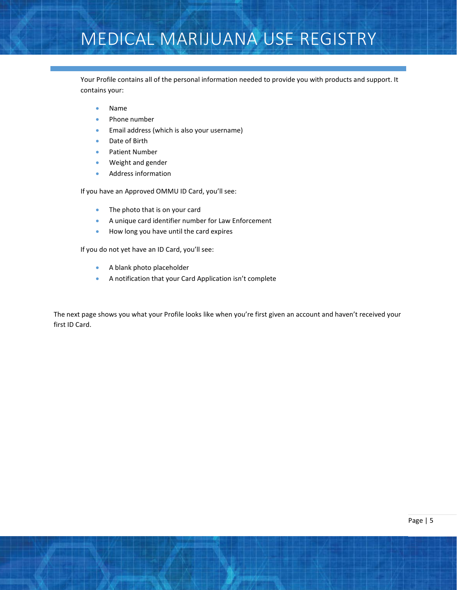Your Profile contains all of the personal information needed to provide you with products and support. It contains your:

- Name
- Phone number
- Email address (which is also your username)
- Date of Birth
- Patient Number
- Weight and gender
- Address information

If you have an Approved OMMU ID Card, you'll see:

- The photo that is on your card
- A unique card identifier number for Law Enforcement
- How long you have until the card expires

If you do not yet have an ID Card, you'll see:

- A blank photo placeholder
- A notification that your Card Application isn't complete

The next page shows you what your Profile looks like when you're first given an account and haven't received your first ID Card.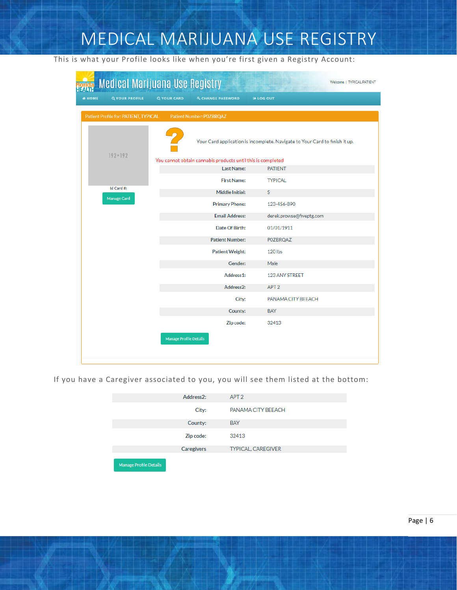This is what your Profile looks like when you're first given a Registry Account:

|               | Medical Marijuana Use Registry        |                               |                                                             | Welcome   TYPICAL PATIENT                                                   |
|---------------|---------------------------------------|-------------------------------|-------------------------------------------------------------|-----------------------------------------------------------------------------|
| <b>N</b> HOME | <b>Q YOUR PROFILE</b>                 | <b>Q YOUR CARD</b>            | <b>4 CHANGE PASSWORD</b>                                    | <b>E</b> LOG OUT                                                            |
|               | Patient Profile for: PATIENT, TYPICAL |                               | Patient Number: POZBRQAZ                                    |                                                                             |
|               | $192 \times 192$                      |                               |                                                             | Your Card application is incomplete. Navigate to Your Card to finish it up. |
|               |                                       |                               | You cannot obtain cannabis products until this is completed |                                                                             |
|               |                                       |                               | <b>Last Name:</b>                                           | <b>PATIENT</b>                                                              |
|               | Id Card #:                            |                               | <b>First Name:</b>                                          | <b>TYPICAL</b>                                                              |
|               |                                       |                               | <b>Middle Initial:</b>                                      | S                                                                           |
|               | Manage Card                           |                               | <b>Primary Phone:</b>                                       | 123-456-890                                                                 |
|               |                                       |                               | <b>Email Address:</b>                                       | derek.prowse@fiveptg.com                                                    |
|               |                                       |                               | Date Of Birth:                                              | 01/01/1911                                                                  |
|               |                                       |                               | <b>Patient Number:</b>                                      | <b>POZBRQAZ</b>                                                             |
|               |                                       |                               | <b>Patient Weight:</b>                                      | <b>120 lbs</b>                                                              |
|               |                                       |                               | Gender:                                                     | Male                                                                        |
|               |                                       |                               | Address1:                                                   | 123 ANY STREET                                                              |
|               |                                       |                               | Address2:                                                   | APT <sub>2</sub>                                                            |
|               |                                       |                               | City:                                                       | PANAMA CITY BEEACH                                                          |
|               |                                       |                               | County:                                                     | <b>BAY</b>                                                                  |
|               |                                       |                               | Zip code:                                                   | 32413                                                                       |
|               |                                       | <b>Manage Profile Details</b> |                                                             |                                                                             |
|               |                                       |                               |                                                             |                                                                             |

If you have a Caregiver associated to you, you will see them listed at the bottom:

| Address <sub>2</sub> :        | APT <sub>2</sub>          |
|-------------------------------|---------------------------|
| City:                         | PANAMA CITY BEEACH        |
| County:                       | <b>BAY</b>                |
| Zip code:                     | 32413                     |
| <b>Caregivers</b>             | <b>TYPICAL, CAREGIVER</b> |
| <b>Manage Profile Details</b> |                           |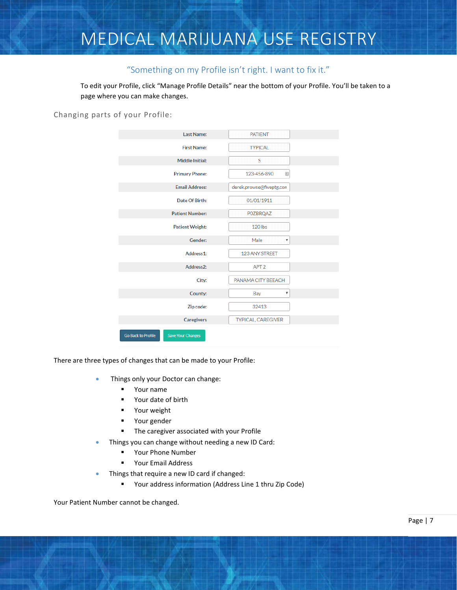## "Something on my Profile isn't right. I want to fix it."

To edit your Profile, click "Manage Profile Details" near the bottom of your Profile. You'll be taken to a page where you can make changes.

Changing parts of your Profile:

| Last Name:                                            | <b>PATIENT</b>                   |
|-------------------------------------------------------|----------------------------------|
| <b>First Name:</b>                                    | <b>TYPICAL</b>                   |
| <b>Middle Initial:</b>                                | S                                |
| <b>Primary Phone:</b>                                 | 123-456-890<br>固                 |
| <b>Email Address:</b>                                 | derek.prowse@fiveptg.con         |
| Date Of Birth:                                        | 01/01/1911                       |
| <b>Patient Number:</b>                                | <b>POZBROAZ</b>                  |
| <b>Patient Weight:</b>                                | 120 lbs                          |
| Gender:                                               | Male<br>v                        |
| Address1:                                             | 123 ANY STREET                   |
| Address <sub>2</sub> :                                | APT <sub>2</sub>                 |
| City:                                                 | PANAMA CITY BEEACH               |
| County:                                               | Bay<br>$\boldsymbol{\mathrm{v}}$ |
| Zip code:                                             | 32413                            |
| <b>Caregivers</b>                                     | <b>TYPICAL, CAREGIVER</b>        |
| <b>Go Back to Profile</b><br><b>Save Your Changes</b> |                                  |

There are three types of changes that can be made to your Profile:

- Things only your Doctor can change:
	- Your name
	- Your date of birth
	- **P** Your weight
	- **P** Your gender
	- **F** The caregiver associated with your Profile
- Things you can change without needing a new ID Card:
	- **•** Your Phone Number
	- **•** Your Email Address
- Things that require a new ID card if changed:
	- Your address information (Address Line 1 thru Zip Code)

Your Patient Number cannot be changed.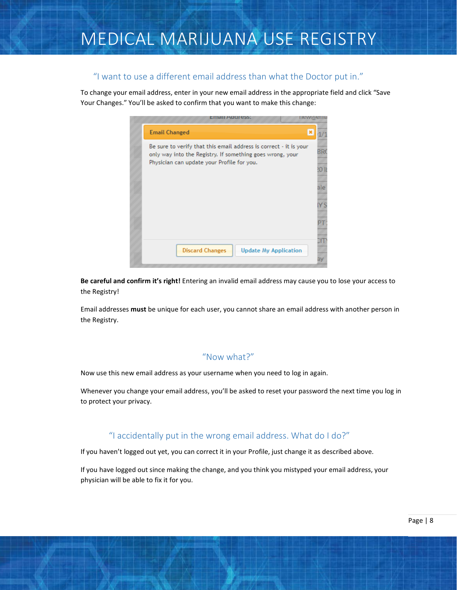#### "I want to use a different email address than what the Doctor put in."

To change your email address, enter in your new email address in the appropriate field and click "Save Your Changes." You'll be asked to confirm that you want to make this change:

| Email Address:<br>new@enia                                                                                                                                                   |                           |
|------------------------------------------------------------------------------------------------------------------------------------------------------------------------------|---------------------------|
| <b>Email Changed</b>                                                                                                                                                         |                           |
| Be sure to verify that this email address is correct - it is your<br>only way into the Registry. If something goes wrong, your<br>Physician can update your Profile for you. | BRC<br>20 lb<br>ale<br>ΥS |
| <b>Discard Changes</b><br><b>Update My Application</b>                                                                                                                       | ay                        |

**Be careful and confirm it's right!** Entering an invalid email address may cause you to lose your access to the Registry!

Email addresses **must** be unique for each user, you cannot share an email address with another person in the Registry.

#### "Now what?"

Now use this new email address as your username when you need to log in again.

Whenever you change your email address, you'll be asked to reset your password the next time you log in to protect your privacy.

### "I accidentally put in the wrong email address. What do I do?"

If you haven't logged out yet, you can correct it in your Profile, just change it as described above.

If you have logged out since making the change, and you think you mistyped your email address, your physician will be able to fix it for you.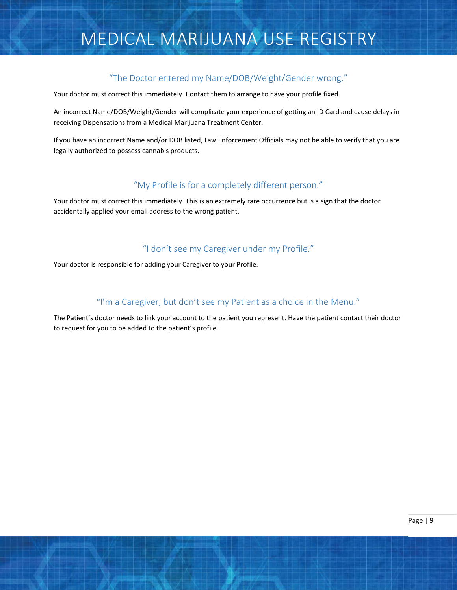### "The Doctor entered my Name/DOB/Weight/Gender wrong."

Your doctor must correct this immediately. Contact them to arrange to have your profile fixed.

An incorrect Name/DOB/Weight/Gender will complicate your experience of getting an ID Card and cause delays in receiving Dispensations from a Medical Marijuana Treatment Center.

If you have an incorrect Name and/or DOB listed, Law Enforcement Officials may not be able to verify that you are legally authorized to possess cannabis products.

## "My Profile is for a completely different person."

Your doctor must correct this immediately. This is an extremely rare occurrence but is a sign that the doctor accidentally applied your email address to the wrong patient.

### "I don't see my Caregiver under my Profile."

Your doctor is responsible for adding your Caregiver to your Profile.

## "I'm a Caregiver, but don't see my Patient as a choice in the Menu."

The Patient's doctor needs to link your account to the patient you represent. Have the patient contact their doctor to request for you to be added to the patient's profile.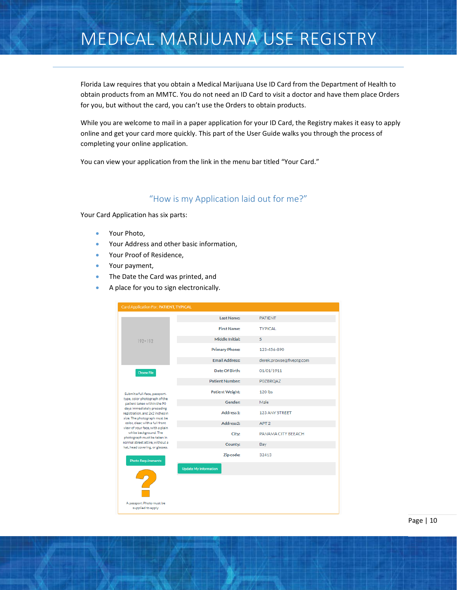Florida Law requires that you obtain a Medical Marijuana Use ID Card from the Department of Health to obtain products from an MMTC. You do not need an ID Card to visit a doctor and have them place Orders for you, but without the card, you can't use the Orders to obtain products.

While you are welcome to mail in a paper application for your ID Card, the Registry makes it easy to apply online and get your card more quickly. This part of the User Guide walks you through the process of completing your online application.

You can view your application from the link in the menu bar titled "Your Card."

## "How is my Application laid out for me?"

Your Card Application has six parts:

- Your Photo,
- Your Address and other basic information,
- Your Proof of Residence,
- Your payment,
- The Date the Card was printed, and
- A place for you to sign electronically.

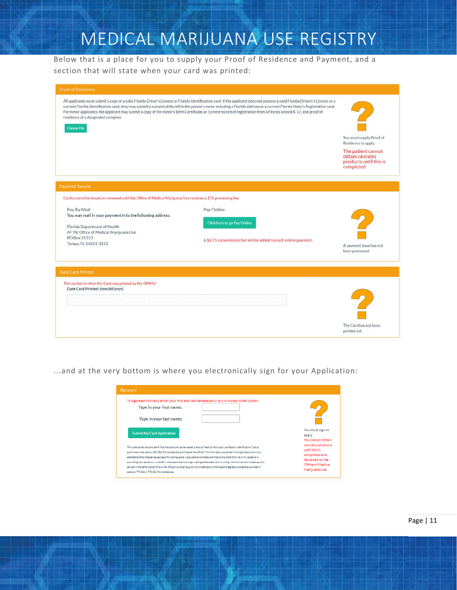Below that is a place for you to supply your Proof of Residence and Payment, and a section that will state when your card was printed:

| <b>Proof of Residence</b>                                                                                                                                                                  |                                                                                                                                                                                                                                                                                                                                                                                                                                                                                                                                     |                                                                                                                                |
|--------------------------------------------------------------------------------------------------------------------------------------------------------------------------------------------|-------------------------------------------------------------------------------------------------------------------------------------------------------------------------------------------------------------------------------------------------------------------------------------------------------------------------------------------------------------------------------------------------------------------------------------------------------------------------------------------------------------------------------------|--------------------------------------------------------------------------------------------------------------------------------|
| residency of a designated caregiver.<br><b>Choose File</b>                                                                                                                                 | All applicants must submit a copy of a valid Florida Driver's License or Florida Identification card. If the applicant does not possess a valid Florida Drivers's License or a<br>current Florida Identification card, they may submit a current utility bill in the person's name including a Florida address or a current Florida Voter's Registration card.<br>For minor applicants, the applicant may submit a copy of the minor's Birth Certificate or current record of registration from a Florida school(K-12, and proof of | You must supply Proof of<br>Residence to apply<br>The patient cannot<br>obtain cannabis<br>products until this is<br>completed |
| <b>Payment Record</b><br>Cards cannot be issued or renewed until the Office of Medical Marijuana Use receives a \$75 processing fee.                                                       |                                                                                                                                                                                                                                                                                                                                                                                                                                                                                                                                     |                                                                                                                                |
| Pay By Mail:<br>You may mail in your payment in to the following address:<br>Florida Department of Health<br>ATTN: Office of Medical Marijuana Use<br>PO Box 31313<br>Tampa, FL 33631-3313 | Pay Online:<br>Click here to go Pay Online<br>A \$2.75 convenience fee will be added to each online payment.                                                                                                                                                                                                                                                                                                                                                                                                                        | A payment issue has not<br>been processed                                                                                      |
| <b>Date Card Printed</b>                                                                                                                                                                   |                                                                                                                                                                                                                                                                                                                                                                                                                                                                                                                                     |                                                                                                                                |
| This section is when the Card was printed by the OMMU<br>Date Card Printed: (mm/dd/yyyy)                                                                                                   |                                                                                                                                                                                                                                                                                                                                                                                                                                                                                                                                     | The Card has not been<br>printed yet                                                                                           |

...and at the very bottom is where you electronically sign for your Application:

| Signature                                                                                                                                            |                                                |
|------------------------------------------------------------------------------------------------------------------------------------------------------|------------------------------------------------|
| To sign electronically, enter your first and last name exactly as it is stored in the system.<br>Type in your first name:<br>Type in your last name: |                                                |
| <b>Submit My Card Application</b>                                                                                                                    | You must sign to<br>apply<br>You cannot obtain |
| The undersigned persons certify that the applicant has requested a physical Medical Marijuana Use Registry Identification Card as                    | cannabis products<br>until this is.            |
| authorized under section 381.986. Florida Statutes, and Chapter 64-4, F.A.C. The information contained in this application and in any                | completed and                                  |
| attached exhibits that serves as a basis for card issuance, is accurate an complete, and that no one other than me or my caregiver is                | reviewed by the                                |
| submitting this request on my behalf. I understand that knowingly making a false statement in writing with the intent to mislead a public            | Office of Medical                              |
| servant in the performance of his or her official duty shall be suilty of a misdemeanor of the second degree punishable as provided in               |                                                |
| sections 775.082 or 775.083. Florida Statutes.                                                                                                       | Marijuana Use                                  |

Page | 11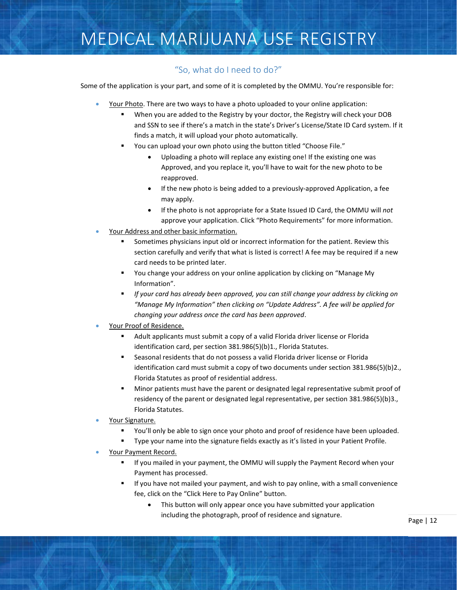### "So, what do I need to do?"

Some of the application is your part, and some of it is completed by the OMMU. You're responsible for:

- Your Photo. There are two ways to have a photo uploaded to your online application:
	- When you are added to the Registry by your doctor, the Registry will check your DOB and SSN to see if there's a match in the state's Driver's License/State ID Card system. If it finds a match, it will upload your photo automatically.
	- You can upload your own photo using the button titled "Choose File."
		- Uploading a photo will replace any existing one! If the existing one was Approved, and you replace it, you'll have to wait for the new photo to be reapproved.
		- If the new photo is being added to a previously-approved Application, a fee may apply.
		- If the photo is not appropriate for a State Issued ID Card, the OMMU will *not* approve your application. Click "Photo Requirements" for more information.
- Your Address and other basic information.
	- Sometimes physicians input old or incorrect information for the patient. Review this section carefully and verify that what is listed is correct! A fee may be required if a new card needs to be printed later.
	- You change your address on your online application by clicking on "Manage My Information".
	- *If your card has already been approved, you can still change your address by clicking on "Manage My Information" then clicking on "Update Address". A fee will be applied for changing your address once the card has been approved*.
- Your Proof of Residence.
	- Adult applicants must submit a copy of a valid Florida driver license or Florida identification card, per section 381.986(5)(b)1., Florida Statutes.
	- Seasonal residents that do not possess a valid Florida driver license or Florida identification card must submit a copy of two documents under section 381.986(5)(b)2., Florida Statutes as proof of residential address.
	- Minor patients must have the parent or designated legal representative submit proof of residency of the parent or designated legal representative, per section 381.986(5)(b)3., Florida Statutes.
- Your Signature.
	- You'll only be able to sign once your photo and proof of residence have been uploaded.
	- Type your name into the signature fields exactly as it's listed in your Patient Profile.
- Your Payment Record.
	- If you mailed in your payment, the OMMU will supply the Payment Record when your Payment has processed.
	- If you have not mailed your payment, and wish to pay online, with a small convenience fee, click on the "Click Here to Pay Online" button.
		- This button will only appear once you have submitted your application including the photograph, proof of residence and signature.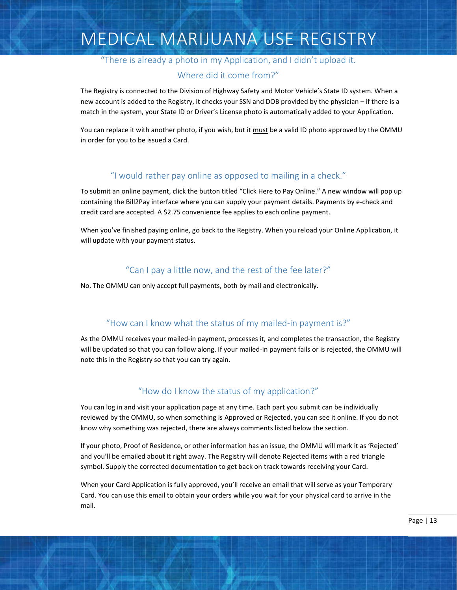#### "There is already a photo in my Application, and I didn't upload it.

#### Where did it come from?"

The Registry is connected to the Division of Highway Safety and Motor Vehicle's State ID system. When a new account is added to the Registry, it checks your SSN and DOB provided by the physician – if there is a match in the system, your State ID or Driver's License photo is automatically added to your Application.

You can replace it with another photo, if you wish, but it must be a valid ID photo approved by the OMMU in order for you to be issued a Card.

#### "I would rather pay online as opposed to mailing in a check."

To submit an online payment, click the button titled "Click Here to Pay Online." A new window will pop up containing the Bill2Pay interface where you can supply your payment details. Payments by e-check and credit card are accepted. A \$2.75 convenience fee applies to each online payment.

When you've finished paying online, go back to the Registry. When you reload your Online Application, it will update with your payment status.

### "Can I pay a little now, and the rest of the fee later?"

No. The OMMU can only accept full payments, both by mail and electronically.

#### "How can I know what the status of my mailed-in payment is?"

As the OMMU receives your mailed-in payment, processes it, and completes the transaction, the Registry will be updated so that you can follow along. If your mailed-in payment fails or is rejected, the OMMU will note this in the Registry so that you can try again.

#### "How do I know the status of my application?"

You can log in and visit your application page at any time. Each part you submit can be individually reviewed by the OMMU, so when something is Approved or Rejected, you can see it online. If you do not know why something was rejected, there are always comments listed below the section.

If your photo, Proof of Residence, or other information has an issue, the OMMU will mark it as 'Rejected' and you'll be emailed about it right away. The Registry will denote Rejected items with a red triangle symbol. Supply the corrected documentation to get back on track towards receiving your Card.

When your Card Application is fully approved, you'll receive an email that will serve as your Temporary Card. You can use this email to obtain your orders while you wait for your physical card to arrive in the mail.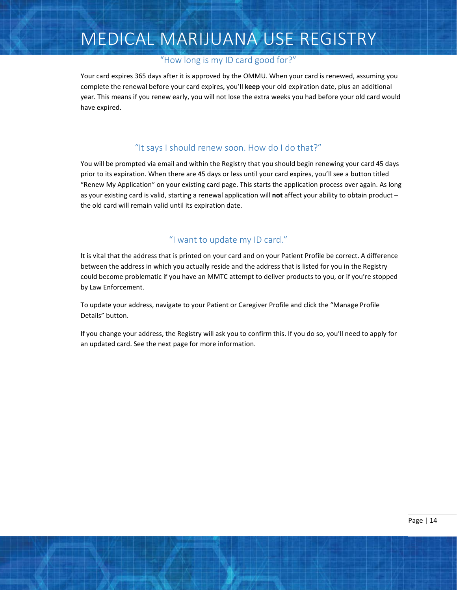## "How long is my ID card good for?"

Your card expires 365 days after it is approved by the OMMU. When your card is renewed, assuming you complete the renewal before your card expires, you'll **keep** your old expiration date, plus an additional year. This means if you renew early, you will not lose the extra weeks you had before your old card would have expired.

### "It says I should renew soon. How do I do that?"

You will be prompted via email and within the Registry that you should begin renewing your card 45 days prior to its expiration. When there are 45 days or less until your card expires, you'll see a button titled "Renew My Application" on your existing card page. This starts the application process over again. As long as your existing card is valid, starting a renewal application will **not** affect your ability to obtain product – the old card will remain valid until its expiration date.

## "I want to update my ID card."

It is vital that the address that is printed on your card and on your Patient Profile be correct. A difference between the address in which you actually reside and the address that is listed for you in the Registry could become problematic if you have an MMTC attempt to deliver products to you, or if you're stopped by Law Enforcement.

To update your address, navigate to your Patient or Caregiver Profile and click the "Manage Profile Details" button.

If you change your address, the Registry will ask you to confirm this. If you do so, you'll need to apply for an updated card. See the next page for more information.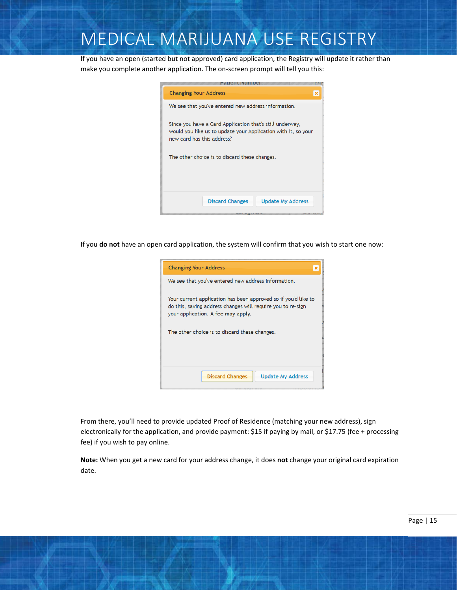If you have an open (started but not approved) card application, the Registry will update it rather than make you complete another application. The on-screen prompt will tell you this:

| <b>Changing Your Address</b>                                                                                                                            |
|---------------------------------------------------------------------------------------------------------------------------------------------------------|
| We see that you've entered new address information.                                                                                                     |
| Since you have a Card Application that's still underway.<br>would you like us to update your Application with it, so your<br>new card has this address? |
| The other choice is to discard these changes.                                                                                                           |
|                                                                                                                                                         |
|                                                                                                                                                         |
| <b>Discard Changes</b><br><b>Update My Address</b>                                                                                                      |

If you **do not** have an open card application, the system will confirm that you wish to start one now:

| <b>Changing Your Address</b>                                                                                                                                        |
|---------------------------------------------------------------------------------------------------------------------------------------------------------------------|
| We see that you've entered new address information.                                                                                                                 |
| Your current application has been approved so if you'd like to<br>do this, saving address changes will require you to re-sign<br>your application. A fee may apply. |
| The other choice is to discard these changes.                                                                                                                       |
|                                                                                                                                                                     |
|                                                                                                                                                                     |
| <b>Discard Changes</b><br><b>Update My Address</b>                                                                                                                  |

From there, you'll need to provide updated Proof of Residence (matching your new address), sign electronically for the application, and provide payment: \$15 if paying by mail, or \$17.75 (fee + processing fee) if you wish to pay online.

**Note:** When you get a new card for your address change, it does **not** change your original card expiration date.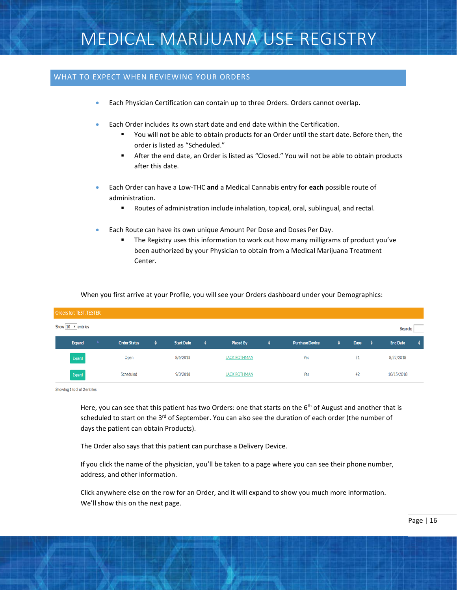#### WHAT TO EXPECT WHEN REVIEWING YOUR ORDERS

- Each Physician Certification can contain up to three Orders. Orders cannot overlap.
- Each Order includes its own start date and end date within the Certification.
	- You will not be able to obtain products for an Order until the start date. Before then, the order is listed as "Scheduled."
	- After the end date, an Order is listed as "Closed." You will not be able to obtain products after this date.
- Each Order can have a Low-THC **and** a Medical Cannabis entry for **each** possible route of administration.
	- Routes of administration include inhalation, topical, oral, sublingual, and rectal.
- Each Route can have its own unique Amount Per Dose and Doses Per Day.
	- The Registry uses this information to work out how many milligrams of product you've been authorized by your Physician to obtain from a Medical Marijuana Treatment Center.

When you first arrive at your Profile, you will see your Orders dashboard under your Demographics:

| Orders for: TEST, TESTER     |                                         |   |                   |   |                     |   |                        |    |      |     |                 |  |  |
|------------------------------|-----------------------------------------|---|-------------------|---|---------------------|---|------------------------|----|------|-----|-----------------|--|--|
| Show 10 v entries<br>Search: |                                         |   |                   |   |                     |   |                        |    |      |     |                 |  |  |
| <b>Expand</b>                | $\blacktriangle$<br><b>Order Status</b> | ٠ | <b>Start Date</b> | ٠ | <b>Placed By</b>    | ÷ | <b>Purchase Device</b> | ۰. | Days | . ≑ | <b>End Date</b> |  |  |
| Expand                       | Open                                    |   | 8/6/2018          |   | <b>JACK ROTHMAN</b> |   | Yes                    |    | 21   |     | 8/27/2018       |  |  |
| Expand                       | Scheduled                               |   | 9/3/2018          |   | <b>JACK ROTHMAN</b> |   | Yes                    |    | 42   |     | 10/15/2018      |  |  |

Showing 1 to 2 of 2 entries

Here, you can see that this patient has two Orders: one that starts on the  $6<sup>th</sup>$  of August and another that is scheduled to start on the 3<sup>rd</sup> of September. You can also see the duration of each order (the number of days the patient can obtain Products).

The Order also says that this patient can purchase a Delivery Device.

If you click the name of the physician, you'll be taken to a page where you can see their phone number, address, and other information.

Click anywhere else on the row for an Order, and it will expand to show you much more information. We'll show this on the next page.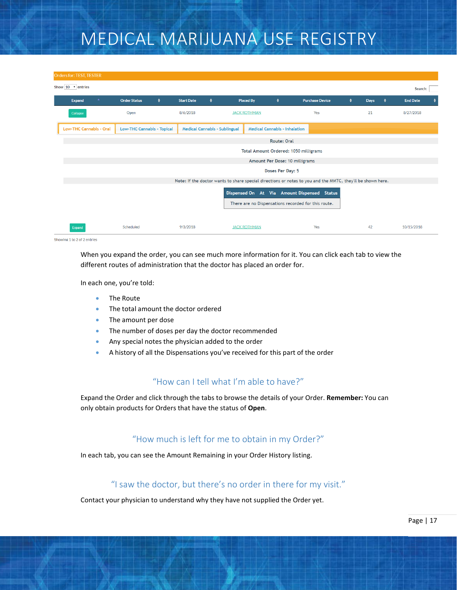| Orders for: TEST, TESTER            |                                                                                                            |                                                                                                      |                     |           |                   |           |                     |                     |                                      |                        |           |             |           |                 |  |
|-------------------------------------|------------------------------------------------------------------------------------------------------------|------------------------------------------------------------------------------------------------------|---------------------|-----------|-------------------|-----------|---------------------|---------------------|--------------------------------------|------------------------|-----------|-------------|-----------|-----------------|--|
| Show $10 \times$ entries<br>Search: |                                                                                                            |                                                                                                      |                     |           |                   |           |                     |                     |                                      |                        |           |             |           |                 |  |
|                                     | <b>Expand</b>                                                                                              | $\blacktriangle$                                                                                     | <b>Order Status</b> | $\bullet$ | <b>Start Date</b> | $\bullet$ | <b>Placed By</b>    |                     | $\bullet$                            | <b>Purchase Device</b> | $\bullet$ | <b>Days</b> | $\bullet$ | <b>End Date</b> |  |
|                                     | Collapse                                                                                                   |                                                                                                      | Open                |           | 8/6/2018          |           |                     | <b>JACK ROTHMAN</b> |                                      | Yes                    |           | 21          |           | 8/27/2018       |  |
|                                     |                                                                                                            | <b>Low-THC Cannabis - Oral</b><br><b>Low-THC Cannabis - Topical</b><br>Medical Cannabis - Sublingual |                     |           |                   |           |                     |                     | <b>Medical Cannabis - Inhalation</b> |                        |           |             |           |                 |  |
|                                     | Route: Oral                                                                                                |                                                                                                      |                     |           |                   |           |                     |                     |                                      |                        |           |             |           |                 |  |
|                                     | Total Amount Ordered: 1050 milligrams                                                                      |                                                                                                      |                     |           |                   |           |                     |                     |                                      |                        |           |             |           |                 |  |
|                                     |                                                                                                            | Amount Per Dose: 10 milligrams                                                                       |                     |           |                   |           |                     |                     |                                      |                        |           |             |           |                 |  |
|                                     | Doses Per Day: 5                                                                                           |                                                                                                      |                     |           |                   |           |                     |                     |                                      |                        |           |             |           |                 |  |
|                                     | Note: If the doctor wants to share special directions or notes to you and the MMTC, they'll be shown here. |                                                                                                      |                     |           |                   |           |                     |                     |                                      |                        |           |             |           |                 |  |
|                                     | Dispensed On At Via Amount Dispensed Status                                                                |                                                                                                      |                     |           |                   |           |                     |                     |                                      |                        |           |             |           |                 |  |
|                                     | There are no Dispensations recorded for this route.                                                        |                                                                                                      |                     |           |                   |           |                     |                     |                                      |                        |           |             |           |                 |  |
|                                     |                                                                                                            |                                                                                                      |                     |           |                   |           |                     |                     |                                      |                        |           |             |           |                 |  |
|                                     | Expand                                                                                                     |                                                                                                      | Scheduled           |           | 9/3/2018          |           | <b>JACK ROTHMAN</b> |                     |                                      | Yes                    |           | 42          |           | 10/15/2018      |  |
|                                     | Showing 1 to 2 of 2 entries                                                                                |                                                                                                      |                     |           |                   |           |                     |                     |                                      |                        |           |             |           |                 |  |

When you expand the order, you can see much more information for it. You can click each tab to view the different routes of administration that the doctor has placed an order for.

In each one, you're told:

- The Route
- The total amount the doctor ordered
- The amount per dose
- The number of doses per day the doctor recommended
- Any special notes the physician added to the order
- A history of all the Dispensations you've received for this part of the order

### "How can I tell what I'm able to have?"

Expand the Order and click through the tabs to browse the details of your Order. **Remember:** You can only obtain products for Orders that have the status of **Open**.

## "How much is left for me to obtain in my Order?"

In each tab, you can see the Amount Remaining in your Order History listing.

#### "I saw the doctor, but there's no order in there for my visit."

Contact your physician to understand why they have not supplied the Order yet.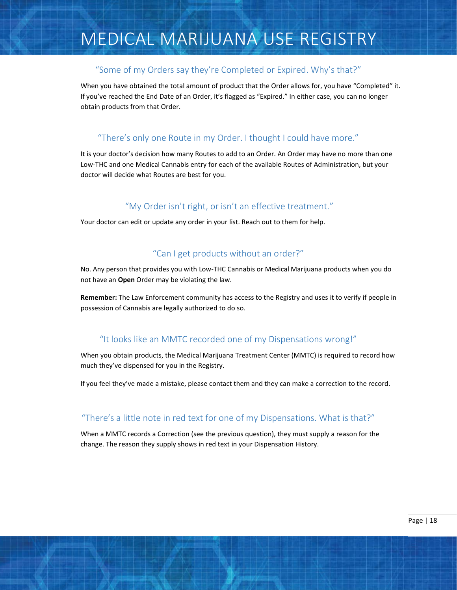### "Some of my Orders say they're Completed or Expired. Why's that?"

When you have obtained the total amount of product that the Order allows for, you have "Completed" it. If you've reached the End Date of an Order, it's flagged as "Expired." In either case, you can no longer obtain products from that Order.

## "There's only one Route in my Order. I thought I could have more."

It is your doctor's decision how many Routes to add to an Order. An Order may have no more than one Low-THC and one Medical Cannabis entry for each of the available Routes of Administration, but your doctor will decide what Routes are best for you.

## "My Order isn't right, or isn't an effective treatment."

Your doctor can edit or update any order in your list. Reach out to them for help.

### "Can I get products without an order?"

No. Any person that provides you with Low-THC Cannabis or Medical Marijuana products when you do not have an **Open** Order may be violating the law.

**Remember:** The Law Enforcement community has access to the Registry and uses it to verify if people in possession of Cannabis are legally authorized to do so.

### "It looks like an MMTC recorded one of my Dispensations wrong!"

When you obtain products, the Medical Marijuana Treatment Center (MMTC) is required to record how much they've dispensed for you in the Registry.

If you feel they've made a mistake, please contact them and they can make a correction to the record.

### "There's a little note in red text for one of my Dispensations. What is that?"

When a MMTC records a Correction (see the previous question), they must supply a reason for the change. The reason they supply shows in red text in your Dispensation History.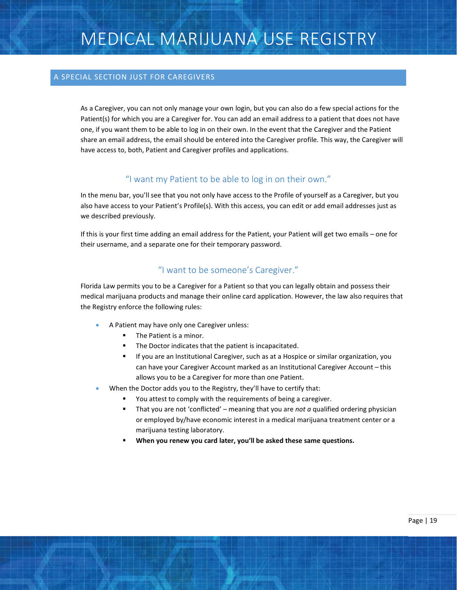#### A SPECIAL SECTION JUST FOR CAREGIVERS

As a Caregiver, you can not only manage your own login, but you can also do a few special actions for the Patient(s) for which you are a Caregiver for. You can add an email address to a patient that does not have one, if you want them to be able to log in on their own. In the event that the Caregiver and the Patient share an email address, the email should be entered into the Caregiver profile. This way, the Caregiver will have access to, both, Patient and Caregiver profiles and applications.

## "I want my Patient to be able to log in on their own."

In the menu bar, you'll see that you not only have access to the Profile of yourself as a Caregiver, but you also have access to your Patient's Profile(s). With this access, you can edit or add email addresses just as we described previously.

If this is your first time adding an email address for the Patient, your Patient will get two emails – one for their username, and a separate one for their temporary password.

## "I want to be someone's Caregiver."

Florida Law permits you to be a Caregiver for a Patient so that you can legally obtain and possess their medical marijuana products and manage their online card application. However, the law also requires that the Registry enforce the following rules:

- A Patient may have only one Caregiver unless:
	- **F** The Patient is a minor.
	- The Doctor indicates that the patient is incapacitated.
	- If you are an Institutional Caregiver, such as at a Hospice or similar organization, you can have your Caregiver Account marked as an Institutional Caregiver Account – this allows you to be a Caregiver for more than one Patient.
- When the Doctor adds you to the Registry, they'll have to certify that:
	- You attest to comply with the requirements of being a caregiver.
	- That you are not 'conflicted' meaning that you are *not a* qualified ordering physician or employed by/have economic interest in a medical marijuana treatment center or a marijuana testing laboratory.
	- **When you renew you card later, you'll be asked these same questions.**